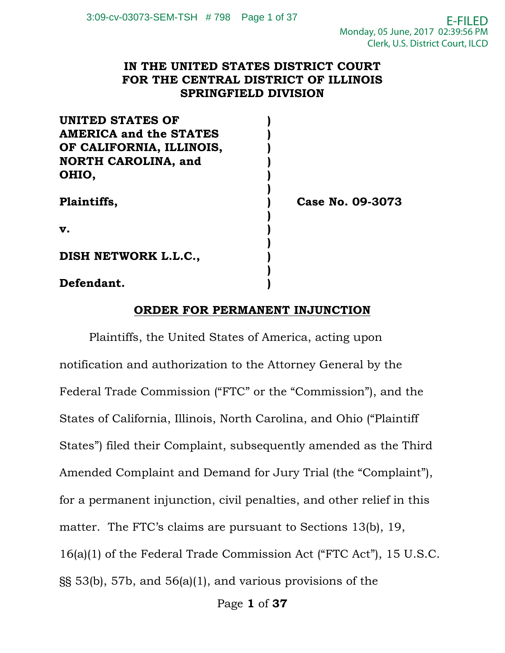#### **IN THE UNITED STATES DISTRICT COURT FOR THE CENTRAL DISTRICT OF ILLINOIS SPRINGFIELD DIVISION**

| <b>UNITED STATES OF</b>       |                  |
|-------------------------------|------------------|
| <b>AMERICA and the STATES</b> |                  |
| OF CALIFORNIA, ILLINOIS,      |                  |
| <b>NORTH CAROLINA, and</b>    |                  |
| OHIO,                         |                  |
| Plaintiffs,                   | Case No. 09-3073 |
| v.                            |                  |
| DISH NETWORK L.L.C.,          |                  |
| Defendant.                    |                  |

#### **ORDER FOR PERMANENT INJUNCTION**

Plaintiffs, the United States of America, acting upon notification and authorization to the Attorney General by the Federal Trade Commission ("FTC" or the "Commission"), and the States of California, Illinois, North Carolina, and Ohio ("Plaintiff States") filed their Complaint, subsequently amended as the Third Amended Complaint and Demand for Jury Trial (the "Complaint"), for a permanent injunction, civil penalties, and other relief in this matter. The FTC's claims are pursuant to Sections 13(b), 19, 16(a)(1) of the Federal Trade Commission Act ("FTC Act"), 15 U.S.C. §§ 53(b), 57b, and 56(a)(1), and various provisions of the

Page **1** of **37**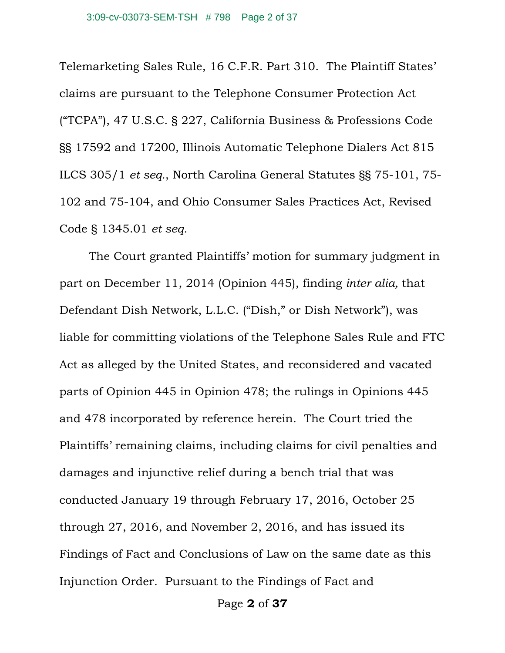Telemarketing Sales Rule, 16 C.F.R. Part 310. The Plaintiff States' claims are pursuant to the Telephone Consumer Protection Act ("TCPA"), 47 U.S.C. § 227, California Business & Professions Code §§ 17592 and 17200, Illinois Automatic Telephone Dialers Act 815 ILCS 305/1 *et seq.*, North Carolina General Statutes §§ 75-101, 75- 102 and 75-104, and Ohio Consumer Sales Practices Act, Revised Code § 1345.01 *et seq.*

The Court granted Plaintiffs' motion for summary judgment in part on December 11, 2014 (Opinion 445), finding *inter alia,* that Defendant Dish Network, L.L.C. ("Dish," or Dish Network"), was liable for committing violations of the Telephone Sales Rule and FTC Act as alleged by the United States, and reconsidered and vacated parts of Opinion 445 in Opinion 478; the rulings in Opinions 445 and 478 incorporated by reference herein. The Court tried the Plaintiffs' remaining claims, including claims for civil penalties and damages and injunctive relief during a bench trial that was conducted January 19 through February 17, 2016, October 25 through 27, 2016, and November 2, 2016, and has issued its Findings of Fact and Conclusions of Law on the same date as this Injunction Order. Pursuant to the Findings of Fact and

Page **2** of **37**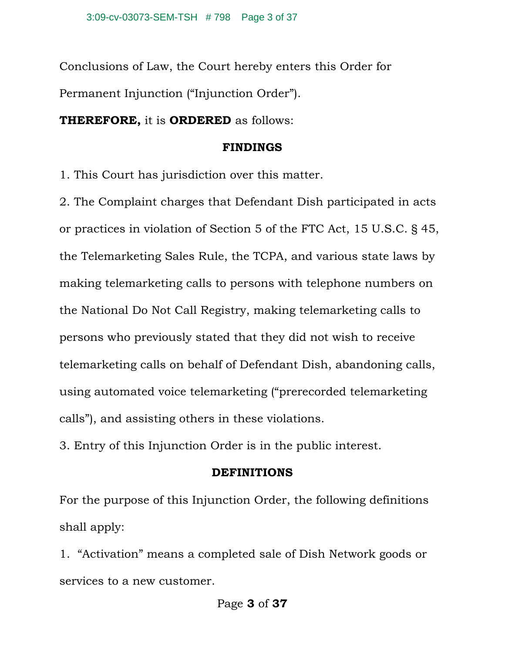Conclusions of Law, the Court hereby enters this Order for Permanent Injunction ("Injunction Order").

**THEREFORE,** it is **ORDERED** as follows:

#### **FINDINGS**

1. This Court has jurisdiction over this matter.

2. The Complaint charges that Defendant Dish participated in acts or practices in violation of Section 5 of the FTC Act, 15 U.S.C. § 45, the Telemarketing Sales Rule, the TCPA, and various state laws by making telemarketing calls to persons with telephone numbers on the National Do Not Call Registry, making telemarketing calls to persons who previously stated that they did not wish to receive telemarketing calls on behalf of Defendant Dish, abandoning calls, using automated voice telemarketing ("prerecorded telemarketing calls"), and assisting others in these violations.

3. Entry of this Injunction Order is in the public interest.

#### **DEFINITIONS**

For the purpose of this Injunction Order, the following definitions shall apply:

1. "Activation" means a completed sale of Dish Network goods or services to a new customer.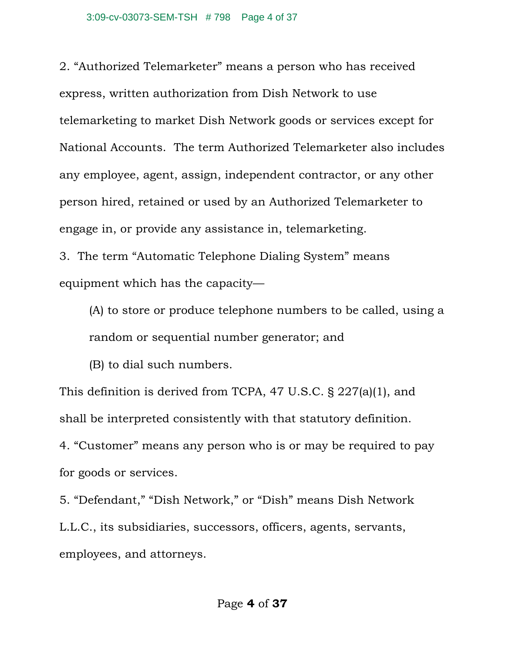2. "Authorized Telemarketer" means a person who has received express, written authorization from Dish Network to use telemarketing to market Dish Network goods or services except for National Accounts. The term Authorized Telemarketer also includes any employee, agent, assign, independent contractor, or any other person hired, retained or used by an Authorized Telemarketer to engage in, or provide any assistance in, telemarketing.

3. The term "Automatic Telephone Dialing System" means equipment which has the capacity—

(A) to store or produce telephone numbers to be called, using a random or sequential number generator; and

(B) to dial such numbers.

This definition is derived from TCPA, 47 U.S.C. § 227(a)(1), and shall be interpreted consistently with that statutory definition. 4. "Customer" means any person who is or may be required to pay for goods or services.

5. "Defendant," "Dish Network," or "Dish" means Dish Network L.L.C., its subsidiaries, successors, officers, agents, servants, employees, and attorneys.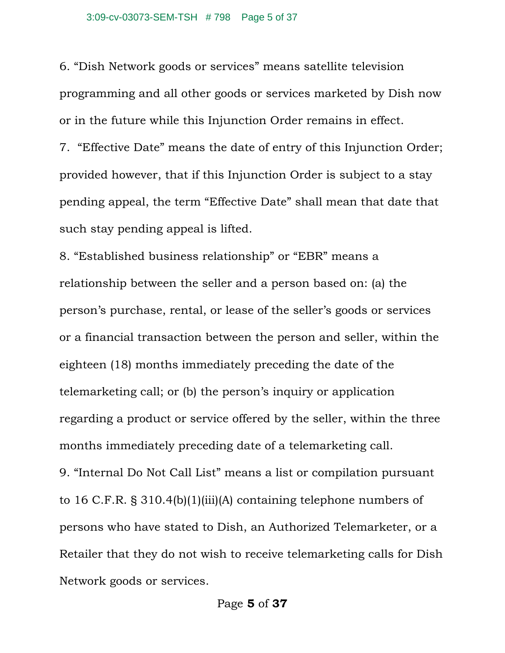6. "Dish Network goods or services" means satellite television programming and all other goods or services marketed by Dish now or in the future while this Injunction Order remains in effect.

7. "Effective Date" means the date of entry of this Injunction Order; provided however, that if this Injunction Order is subject to a stay pending appeal, the term "Effective Date" shall mean that date that such stay pending appeal is lifted.

8. "Established business relationship" or "EBR" means a relationship between the seller and a person based on: (a) the person's purchase, rental, or lease of the seller's goods or services or a financial transaction between the person and seller, within the eighteen (18) months immediately preceding the date of the telemarketing call; or (b) the person's inquiry or application regarding a product or service offered by the seller, within the three months immediately preceding date of a telemarketing call. 9. "Internal Do Not Call List" means a list or compilation pursuant to 16 C.F.R. § 310.4(b)(1)(iii)(A) containing telephone numbers of persons who have stated to Dish, an Authorized Telemarketer, or a Retailer that they do not wish to receive telemarketing calls for Dish Network goods or services.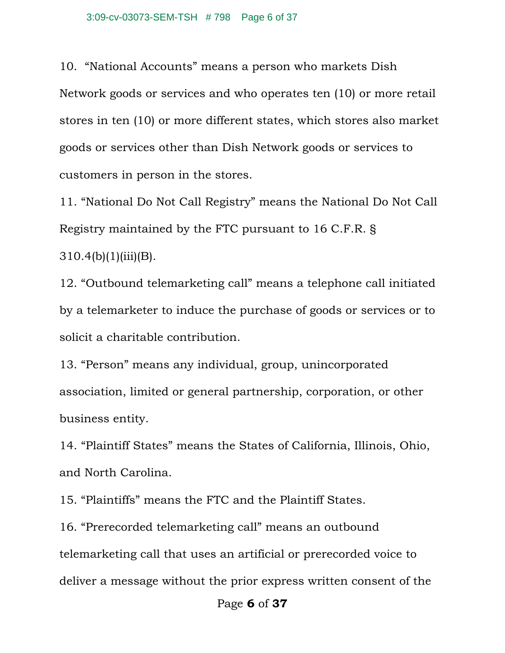10. "National Accounts" means a person who markets Dish Network goods or services and who operates ten (10) or more retail stores in ten (10) or more different states, which stores also market goods or services other than Dish Network goods or services to customers in person in the stores.

11. "National Do Not Call Registry" means the National Do Not Call Registry maintained by the FTC pursuant to 16 C.F.R. §  $310.4(b)(1)(iii)(B)$ .

12. "Outbound telemarketing call" means a telephone call initiated by a telemarketer to induce the purchase of goods or services or to solicit a charitable contribution.

13. "Person" means any individual, group, unincorporated association, limited or general partnership, corporation, or other business entity.

14. "Plaintiff States" means the States of California, Illinois, Ohio, and North Carolina.

15. "Plaintiffs" means the FTC and the Plaintiff States.

16. "Prerecorded telemarketing call" means an outbound telemarketing call that uses an artificial or prerecorded voice to deliver a message without the prior express written consent of the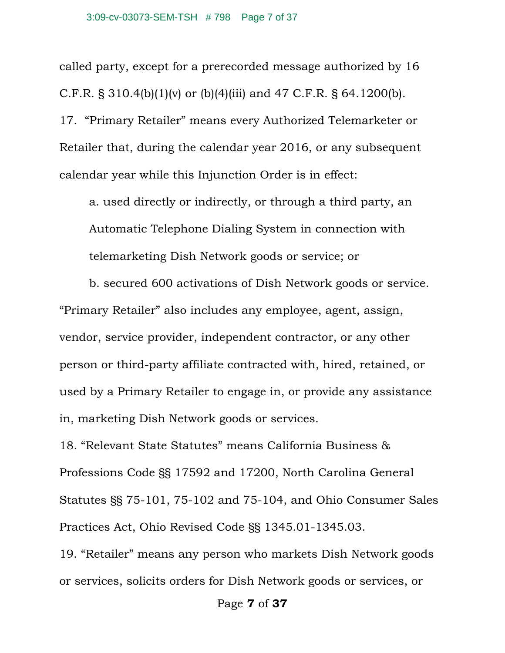called party, except for a prerecorded message authorized by 16 C.F.R. § 310.4(b)(1)(v) or (b)(4)(iii) and 47 C.F.R. § 64.1200(b). 17. "Primary Retailer" means every Authorized Telemarketer or Retailer that, during the calendar year 2016, or any subsequent calendar year while this Injunction Order is in effect:

a. used directly or indirectly, or through a third party, an Automatic Telephone Dialing System in connection with telemarketing Dish Network goods or service; or

b. secured 600 activations of Dish Network goods or service. "Primary Retailer" also includes any employee, agent, assign, vendor, service provider, independent contractor, or any other person or third-party affiliate contracted with, hired, retained, or used by a Primary Retailer to engage in, or provide any assistance in, marketing Dish Network goods or services.

18. "Relevant State Statutes" means California Business & Professions Code §§ 17592 and 17200, North Carolina General Statutes §§ 75-101, 75-102 and 75-104, and Ohio Consumer Sales Practices Act, Ohio Revised Code §§ 1345.01-1345.03.

19. "Retailer" means any person who markets Dish Network goods or services, solicits orders for Dish Network goods or services, or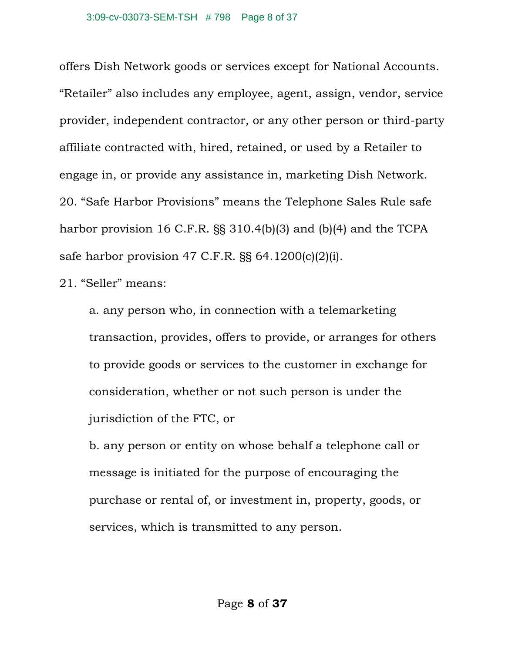offers Dish Network goods or services except for National Accounts. "Retailer" also includes any employee, agent, assign, vendor, service provider, independent contractor, or any other person or third-party affiliate contracted with, hired, retained, or used by a Retailer to engage in, or provide any assistance in, marketing Dish Network. 20. "Safe Harbor Provisions" means the Telephone Sales Rule safe harbor provision 16 C.F.R. §§ 310.4(b)(3) and (b)(4) and the TCPA safe harbor provision 47 C.F.R. §§ 64.1200(c)(2)(i).

21. "Seller" means:

a. any person who, in connection with a telemarketing transaction, provides, offers to provide, or arranges for others to provide goods or services to the customer in exchange for consideration, whether or not such person is under the jurisdiction of the FTC, or

b. any person or entity on whose behalf a telephone call or message is initiated for the purpose of encouraging the purchase or rental of, or investment in, property, goods, or services, which is transmitted to any person.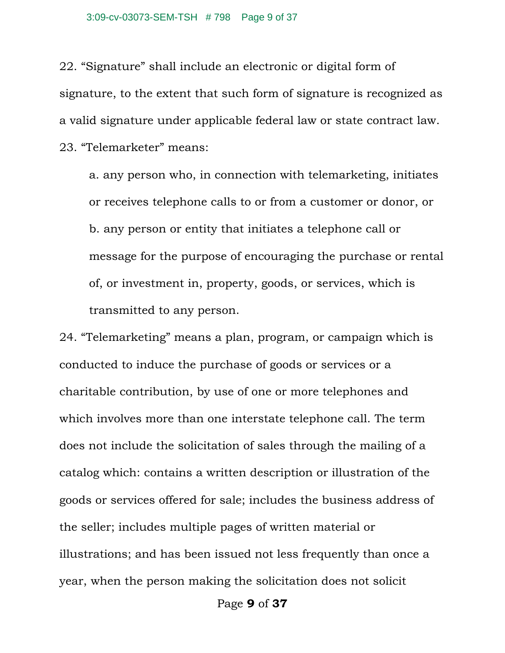#### 3:09-cv-03073-SEM-TSH # 798 Page 9 of 37

22. "Signature" shall include an electronic or digital form of signature, to the extent that such form of signature is recognized as a valid signature under applicable federal law or state contract law. 23. "Telemarketer" means:

a. any person who, in connection with telemarketing, initiates or receives telephone calls to or from a customer or donor, or b. any person or entity that initiates a telephone call or message for the purpose of encouraging the purchase or rental of, or investment in, property, goods, or services, which is transmitted to any person.

24. "Telemarketing" means a plan, program, or campaign which is conducted to induce the purchase of goods or services or a charitable contribution, by use of one or more telephones and which involves more than one interstate telephone call. The term does not include the solicitation of sales through the mailing of a catalog which: contains a written description or illustration of the goods or services offered for sale; includes the business address of the seller; includes multiple pages of written material or illustrations; and has been issued not less frequently than once a year, when the person making the solicitation does not solicit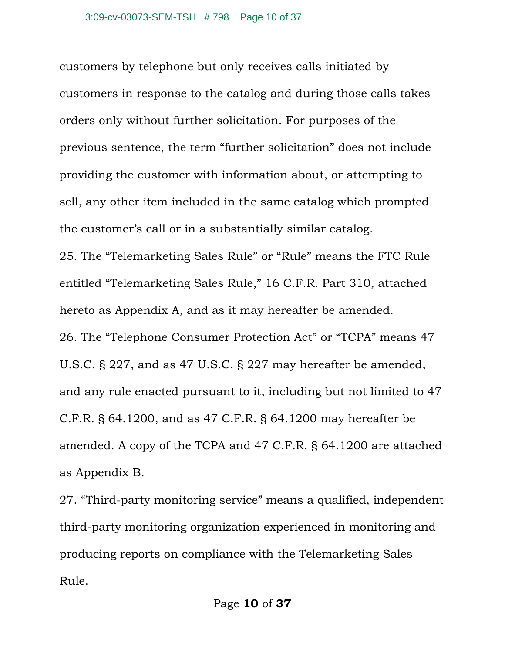customers by telephone but only receives calls initiated by customers in response to the catalog and during those calls takes orders only without further solicitation. For purposes of the previous sentence, the term "further solicitation" does not include providing the customer with information about, or attempting to sell, any other item included in the same catalog which prompted the customer's call or in a substantially similar catalog. 25. The "Telemarketing Sales Rule" or "Rule" means the FTC Rule entitled "Telemarketing Sales Rule," 16 C.F.R. Part 310, attached hereto as Appendix A, and as it may hereafter be amended. 26. The "Telephone Consumer Protection Act" or "TCPA" means 47 U.S.C. § 227, and as 47 U.S.C. § 227 may hereafter be amended, and any rule enacted pursuant to it, including but not limited to 47 C.F.R. § 64.1200, and as 47 C.F.R. § 64.1200 may hereafter be amended. A copy of the TCPA and 47 C.F.R. § 64.1200 are attached as Appendix B.

27. "Third-party monitoring service" means a qualified, independent third-party monitoring organization experienced in monitoring and producing reports on compliance with the Telemarketing Sales Rule.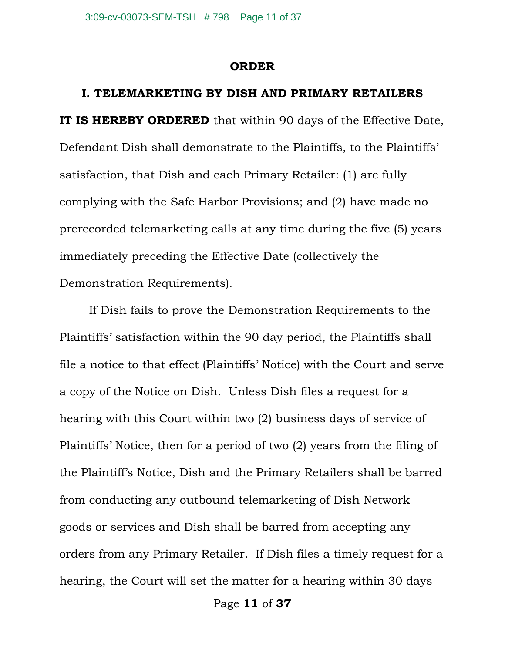#### **ORDER**

#### **I. TELEMARKETING BY DISH AND PRIMARY RETAILERS**

**IT IS HEREBY ORDERED** that within 90 days of the Effective Date, Defendant Dish shall demonstrate to the Plaintiffs, to the Plaintiffs' satisfaction, that Dish and each Primary Retailer: (1) are fully complying with the Safe Harbor Provisions; and (2) have made no prerecorded telemarketing calls at any time during the five (5) years immediately preceding the Effective Date (collectively the Demonstration Requirements).

If Dish fails to prove the Demonstration Requirements to the Plaintiffs' satisfaction within the 90 day period, the Plaintiffs shall file a notice to that effect (Plaintiffs' Notice) with the Court and serve a copy of the Notice on Dish. Unless Dish files a request for a hearing with this Court within two (2) business days of service of Plaintiffs' Notice, then for a period of two (2) years from the filing of the Plaintiff's Notice, Dish and the Primary Retailers shall be barred from conducting any outbound telemarketing of Dish Network goods or services and Dish shall be barred from accepting any orders from any Primary Retailer. If Dish files a timely request for a hearing, the Court will set the matter for a hearing within 30 days

Page **11** of **37**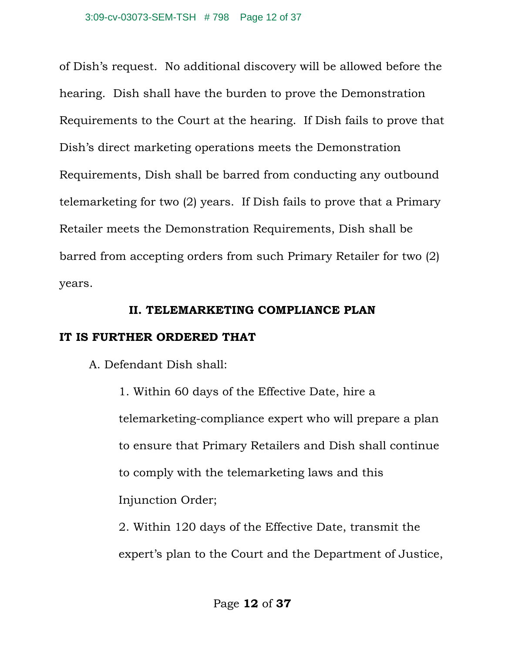of Dish's request. No additional discovery will be allowed before the hearing. Dish shall have the burden to prove the Demonstration Requirements to the Court at the hearing. If Dish fails to prove that Dish's direct marketing operations meets the Demonstration Requirements, Dish shall be barred from conducting any outbound telemarketing for two (2) years. If Dish fails to prove that a Primary Retailer meets the Demonstration Requirements, Dish shall be barred from accepting orders from such Primary Retailer for two (2) years.

### **II. TELEMARKETING COMPLIANCE PLAN**

## **IT IS FURTHER ORDERED THAT**

A. Defendant Dish shall:

1. Within 60 days of the Effective Date, hire a telemarketing-compliance expert who will prepare a plan to ensure that Primary Retailers and Dish shall continue to comply with the telemarketing laws and this Injunction Order;

2. Within 120 days of the Effective Date, transmit the expert's plan to the Court and the Department of Justice,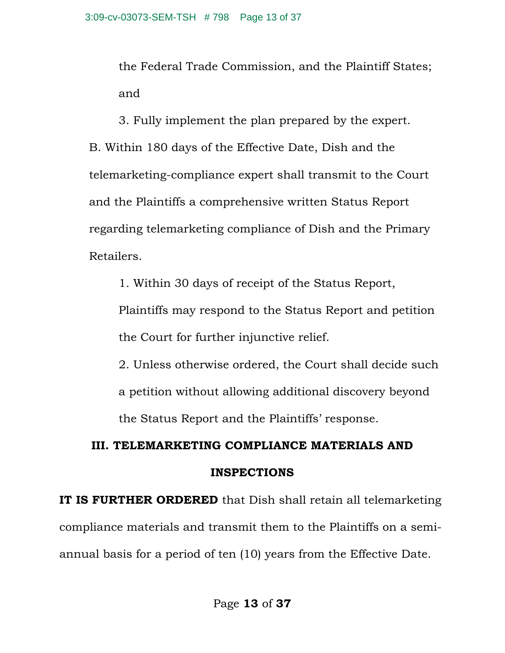the Federal Trade Commission, and the Plaintiff States; and

3. Fully implement the plan prepared by the expert. B. Within 180 days of the Effective Date, Dish and the telemarketing-compliance expert shall transmit to the Court and the Plaintiffs a comprehensive written Status Report regarding telemarketing compliance of Dish and the Primary Retailers.

1. Within 30 days of receipt of the Status Report, Plaintiffs may respond to the Status Report and petition the Court for further injunctive relief.

2. Unless otherwise ordered, the Court shall decide such a petition without allowing additional discovery beyond the Status Report and the Plaintiffs' response.

# **III. TELEMARKETING COMPLIANCE MATERIALS AND INSPECTIONS**

**IT IS FURTHER ORDERED** that Dish shall retain all telemarketing compliance materials and transmit them to the Plaintiffs on a semiannual basis for a period of ten (10) years from the Effective Date.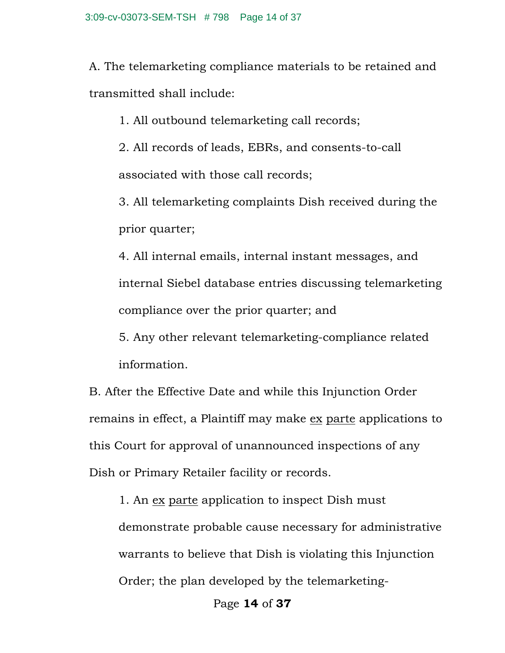A. The telemarketing compliance materials to be retained and transmitted shall include:

1. All outbound telemarketing call records;

2. All records of leads, EBRs, and consents-to-call associated with those call records;

3. All telemarketing complaints Dish received during the prior quarter;

4. All internal emails, internal instant messages, and internal Siebel database entries discussing telemarketing compliance over the prior quarter; and

5. Any other relevant telemarketing-compliance related information.

B. After the Effective Date and while this Injunction Order remains in effect, a Plaintiff may make ex parte applications to this Court for approval of unannounced inspections of any Dish or Primary Retailer facility or records.

1. An ex parte application to inspect Dish must demonstrate probable cause necessary for administrative warrants to believe that Dish is violating this Injunction Order; the plan developed by the telemarketing-

Page **14** of **37**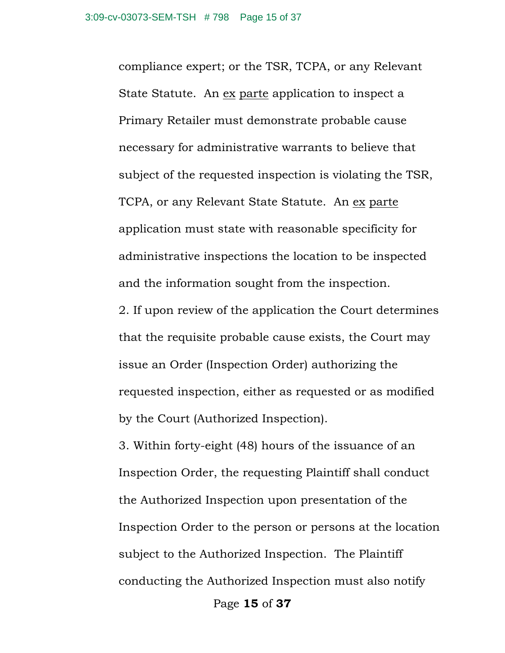compliance expert; or the TSR, TCPA, or any Relevant State Statute. An ex parte application to inspect a Primary Retailer must demonstrate probable cause necessary for administrative warrants to believe that subject of the requested inspection is violating the TSR, TCPA, or any Relevant State Statute. An ex parte application must state with reasonable specificity for administrative inspections the location to be inspected and the information sought from the inspection.

2. If upon review of the application the Court determines that the requisite probable cause exists, the Court may issue an Order (Inspection Order) authorizing the requested inspection, either as requested or as modified by the Court (Authorized Inspection).

3. Within forty-eight (48) hours of the issuance of an Inspection Order, the requesting Plaintiff shall conduct the Authorized Inspection upon presentation of the Inspection Order to the person or persons at the location subject to the Authorized Inspection. The Plaintiff conducting the Authorized Inspection must also notify

Page **15** of **37**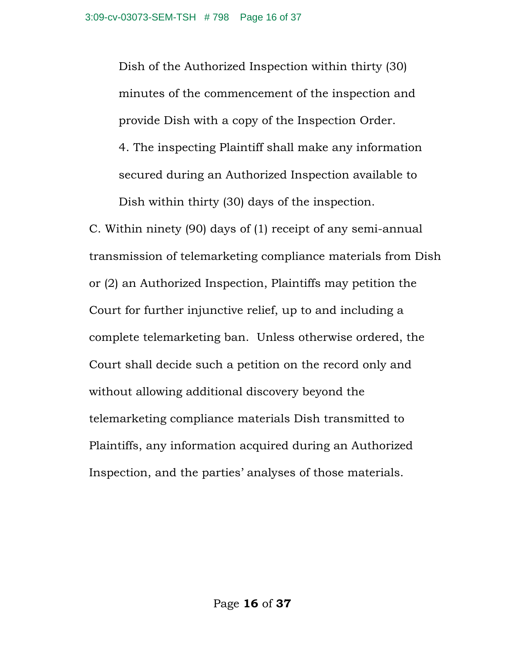Dish of the Authorized Inspection within thirty (30) minutes of the commencement of the inspection and provide Dish with a copy of the Inspection Order.

4. The inspecting Plaintiff shall make any information secured during an Authorized Inspection available to Dish within thirty (30) days of the inspection.

C. Within ninety (90) days of (1) receipt of any semi-annual transmission of telemarketing compliance materials from Dish or (2) an Authorized Inspection, Plaintiffs may petition the Court for further injunctive relief, up to and including a complete telemarketing ban. Unless otherwise ordered, the Court shall decide such a petition on the record only and without allowing additional discovery beyond the telemarketing compliance materials Dish transmitted to Plaintiffs, any information acquired during an Authorized Inspection, and the parties' analyses of those materials.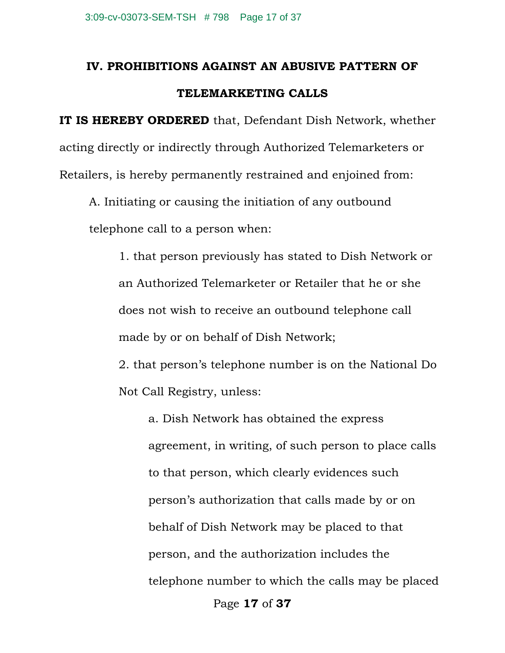## **IV. PROHIBITIONS AGAINST AN ABUSIVE PATTERN OF TELEMARKETING CALLS**

**IT IS HEREBY ORDERED** that, Defendant Dish Network, whether acting directly or indirectly through Authorized Telemarketers or Retailers, is hereby permanently restrained and enjoined from:

A. Initiating or causing the initiation of any outbound telephone call to a person when:

1. that person previously has stated to Dish Network or an Authorized Telemarketer or Retailer that he or she does not wish to receive an outbound telephone call made by or on behalf of Dish Network;

2. that person's telephone number is on the National Do Not Call Registry, unless:

Page **17** of **37** a. Dish Network has obtained the express agreement, in writing, of such person to place calls to that person, which clearly evidences such person's authorization that calls made by or on behalf of Dish Network may be placed to that person, and the authorization includes the telephone number to which the calls may be placed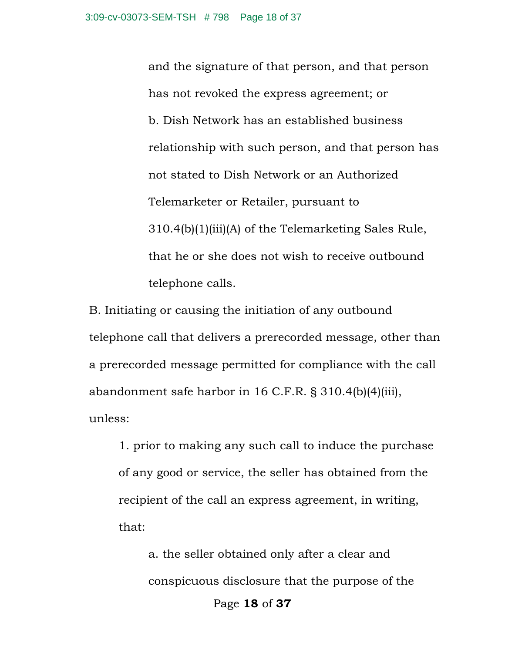and the signature of that person, and that person has not revoked the express agreement; or b. Dish Network has an established business relationship with such person, and that person has not stated to Dish Network or an Authorized Telemarketer or Retailer, pursuant to 310.4(b)(1)(iii)(A) of the Telemarketing Sales Rule, that he or she does not wish to receive outbound telephone calls.

B. Initiating or causing the initiation of any outbound telephone call that delivers a prerecorded message, other than a prerecorded message permitted for compliance with the call abandonment safe harbor in 16 C.F.R. § 310.4(b)(4)(iii), unless:

1. prior to making any such call to induce the purchase of any good or service, the seller has obtained from the recipient of the call an express agreement, in writing, that:

Page **18** of **37** a. the seller obtained only after a clear and conspicuous disclosure that the purpose of the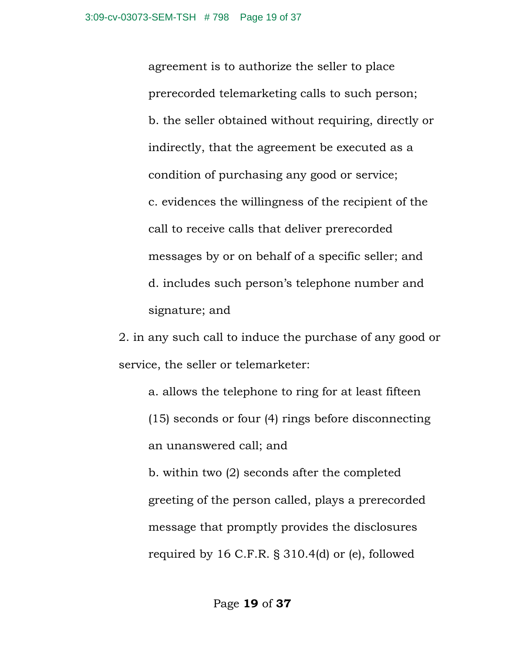agreement is to authorize the seller to place prerecorded telemarketing calls to such person; b. the seller obtained without requiring, directly or indirectly, that the agreement be executed as a condition of purchasing any good or service; c. evidences the willingness of the recipient of the call to receive calls that deliver prerecorded messages by or on behalf of a specific seller; and d. includes such person's telephone number and signature; and

2. in any such call to induce the purchase of any good or service, the seller or telemarketer:

a. allows the telephone to ring for at least fifteen

(15) seconds or four (4) rings before disconnecting an unanswered call; and

b. within two (2) seconds after the completed greeting of the person called, plays a prerecorded message that promptly provides the disclosures required by 16 C.F.R. § 310.4(d) or (e), followed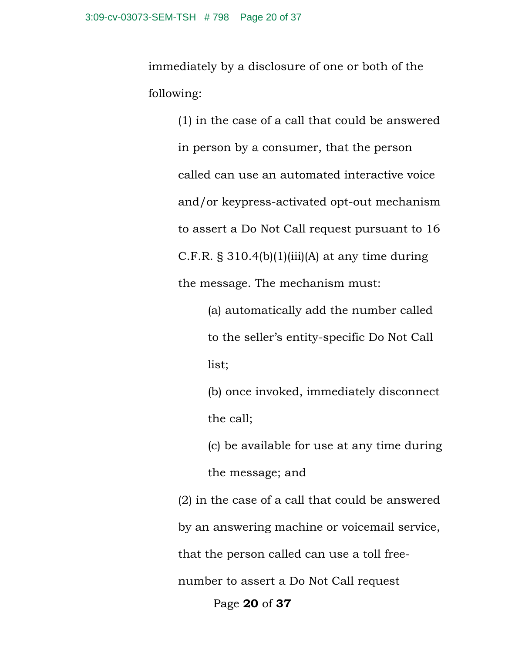immediately by a disclosure of one or both of the following:

> (1) in the case of a call that could be answered in person by a consumer, that the person called can use an automated interactive voice and/or keypress-activated opt-out mechanism to assert a Do Not Call request pursuant to 16 C.F.R.  $\S 310.4(b)(1)(iii)(A)$  at any time during the message. The mechanism must:

> > (a) automatically add the number called to the seller's entity-specific Do Not Call list;

(b) once invoked, immediately disconnect the call;

(c) be available for use at any time during the message; and

Page **20** of **37** (2) in the case of a call that could be answered by an answering machine or voicemail service, that the person called can use a toll freenumber to assert a Do Not Call request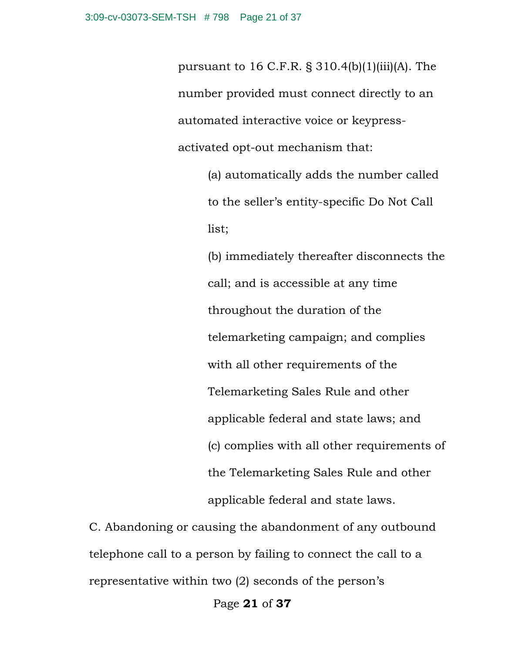pursuant to 16 C.F.R.  $\S 310.4(b)(1)(iii)(A)$ . The number provided must connect directly to an automated interactive voice or keypressactivated opt-out mechanism that:

> (a) automatically adds the number called to the seller's entity-specific Do Not Call list;

(b) immediately thereafter disconnects the call; and is accessible at any time throughout the duration of the telemarketing campaign; and complies with all other requirements of the Telemarketing Sales Rule and other applicable federal and state laws; and (c) complies with all other requirements of the Telemarketing Sales Rule and other applicable federal and state laws.

C. Abandoning or causing the abandonment of any outbound telephone call to a person by failing to connect the call to a representative within two (2) seconds of the person's

Page **21** of **37**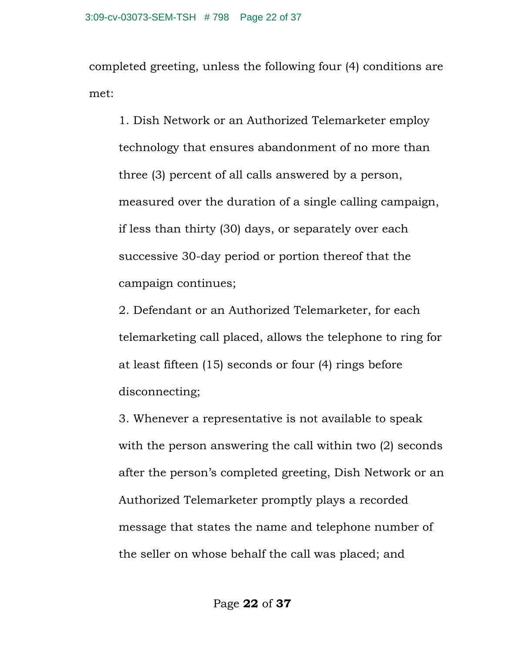completed greeting, unless the following four (4) conditions are met:

1. Dish Network or an Authorized Telemarketer employ technology that ensures abandonment of no more than three (3) percent of all calls answered by a person, measured over the duration of a single calling campaign, if less than thirty (30) days, or separately over each successive 30-day period or portion thereof that the campaign continues;

2. Defendant or an Authorized Telemarketer, for each telemarketing call placed, allows the telephone to ring for at least fifteen (15) seconds or four (4) rings before disconnecting;

3. Whenever a representative is not available to speak with the person answering the call within two (2) seconds after the person's completed greeting, Dish Network or an Authorized Telemarketer promptly plays a recorded message that states the name and telephone number of the seller on whose behalf the call was placed; and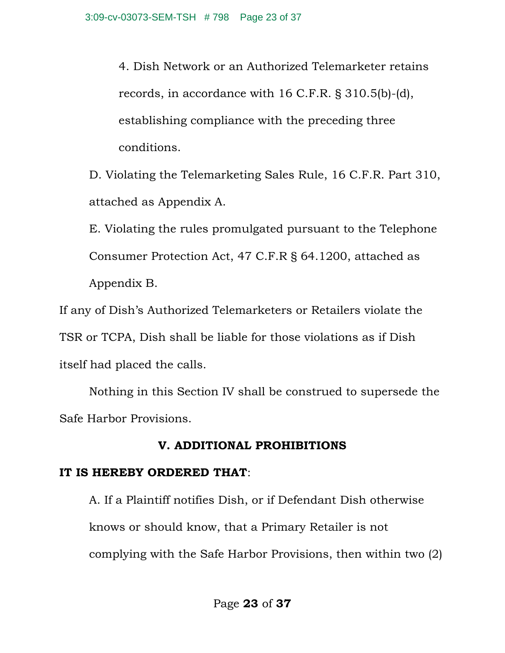4. Dish Network or an Authorized Telemarketer retains records, in accordance with 16 C.F.R. § 310.5(b)-(d), establishing compliance with the preceding three conditions.

D. Violating the Telemarketing Sales Rule, 16 C.F.R. Part 310, attached as Appendix A.

E. Violating the rules promulgated pursuant to the Telephone Consumer Protection Act, 47 C.F.R § 64.1200, attached as Appendix B.

If any of Dish's Authorized Telemarketers or Retailers violate the TSR or TCPA, Dish shall be liable for those violations as if Dish itself had placed the calls.

Nothing in this Section IV shall be construed to supersede the Safe Harbor Provisions.

## **V. ADDITIONAL PROHIBITIONS**

## **IT IS HEREBY ORDERED THAT**:

A. If a Plaintiff notifies Dish, or if Defendant Dish otherwise knows or should know, that a Primary Retailer is not complying with the Safe Harbor Provisions, then within two (2)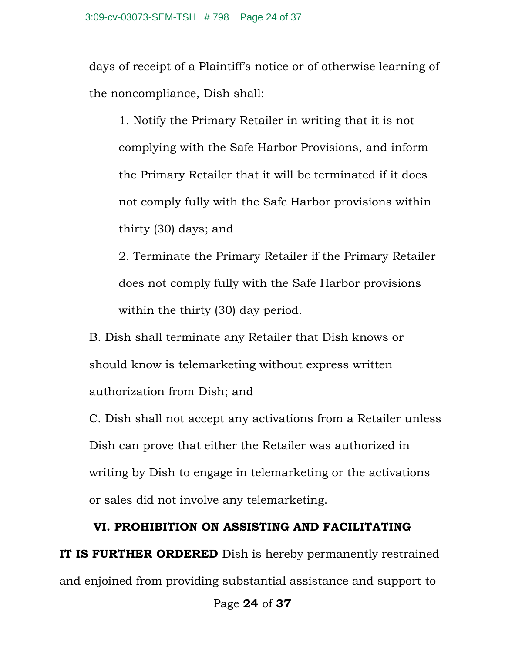days of receipt of a Plaintiff's notice or of otherwise learning of the noncompliance, Dish shall:

1. Notify the Primary Retailer in writing that it is not complying with the Safe Harbor Provisions, and inform the Primary Retailer that it will be terminated if it does not comply fully with the Safe Harbor provisions within thirty (30) days; and

2. Terminate the Primary Retailer if the Primary Retailer does not comply fully with the Safe Harbor provisions within the thirty (30) day period.

B. Dish shall terminate any Retailer that Dish knows or should know is telemarketing without express written authorization from Dish; and

C. Dish shall not accept any activations from a Retailer unless Dish can prove that either the Retailer was authorized in writing by Dish to engage in telemarketing or the activations or sales did not involve any telemarketing.

## **VI. PROHIBITION ON ASSISTING AND FACILITATING**

**IT IS FURTHER ORDERED** Dish is hereby permanently restrained and enjoined from providing substantial assistance and support to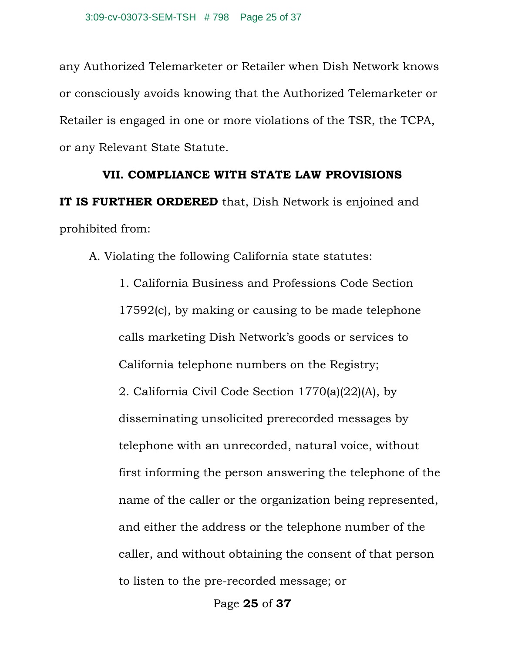any Authorized Telemarketer or Retailer when Dish Network knows or consciously avoids knowing that the Authorized Telemarketer or Retailer is engaged in one or more violations of the TSR, the TCPA, or any Relevant State Statute.

#### **VII. COMPLIANCE WITH STATE LAW PROVISIONS**

**IT IS FURTHER ORDERED** that, Dish Network is enjoined and prohibited from:

A. Violating the following California state statutes:

1. California Business and Professions Code Section 17592(c), by making or causing to be made telephone calls marketing Dish Network's goods or services to California telephone numbers on the Registry; 2. California Civil Code Section 1770(a)(22)(A), by disseminating unsolicited prerecorded messages by telephone with an unrecorded, natural voice, without first informing the person answering the telephone of the name of the caller or the organization being represented, and either the address or the telephone number of the caller, and without obtaining the consent of that person to listen to the pre-recorded message; or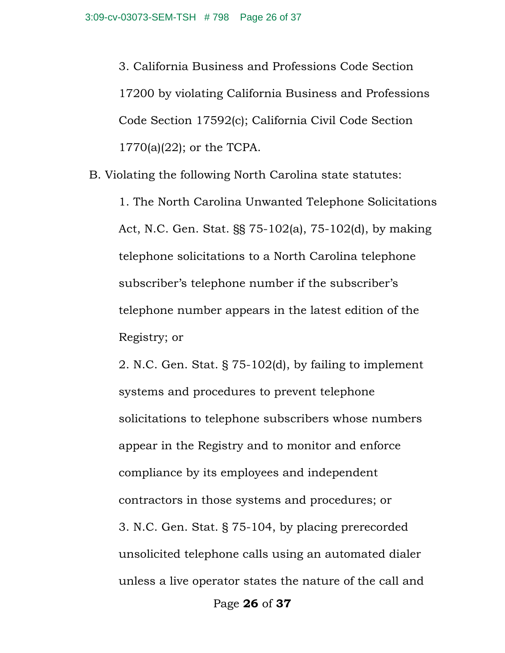3. California Business and Professions Code Section 17200 by violating California Business and Professions Code Section 17592(c); California Civil Code Section 1770(a)(22); or the TCPA.

B. Violating the following North Carolina state statutes:

1. The North Carolina Unwanted Telephone Solicitations Act, N.C. Gen. Stat. §§ 75-102(a), 75-102(d), by making telephone solicitations to a North Carolina telephone subscriber's telephone number if the subscriber's telephone number appears in the latest edition of the Registry; or

2. N.C. Gen. Stat. § 75-102(d), by failing to implement systems and procedures to prevent telephone solicitations to telephone subscribers whose numbers appear in the Registry and to monitor and enforce compliance by its employees and independent contractors in those systems and procedures; or 3. N.C. Gen. Stat. § 75-104, by placing prerecorded unsolicited telephone calls using an automated dialer unless a live operator states the nature of the call and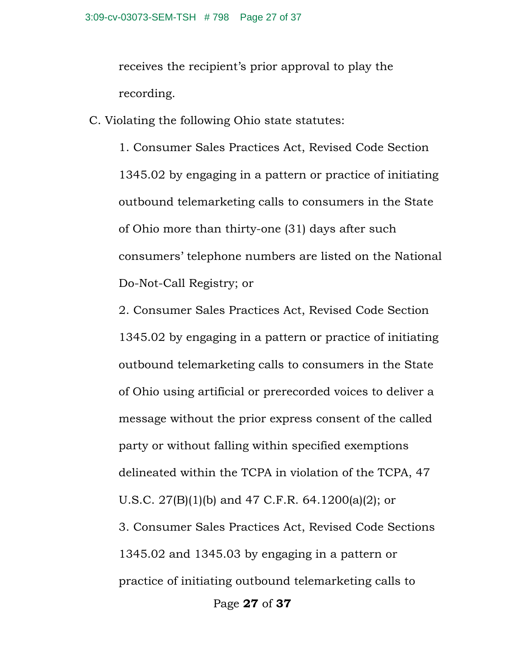receives the recipient's prior approval to play the recording.

C. Violating the following Ohio state statutes:

1. Consumer Sales Practices Act, Revised Code Section 1345.02 by engaging in a pattern or practice of initiating outbound telemarketing calls to consumers in the State of Ohio more than thirty-one (31) days after such consumers' telephone numbers are listed on the National Do-Not-Call Registry; or

Page **27** of **37** 2. Consumer Sales Practices Act, Revised Code Section 1345.02 by engaging in a pattern or practice of initiating outbound telemarketing calls to consumers in the State of Ohio using artificial or prerecorded voices to deliver a message without the prior express consent of the called party or without falling within specified exemptions delineated within the TCPA in violation of the TCPA, 47 U.S.C. 27(B)(1)(b) and 47 C.F.R. 64.1200(a)(2); or 3. Consumer Sales Practices Act, Revised Code Sections 1345.02 and 1345.03 by engaging in a pattern or practice of initiating outbound telemarketing calls to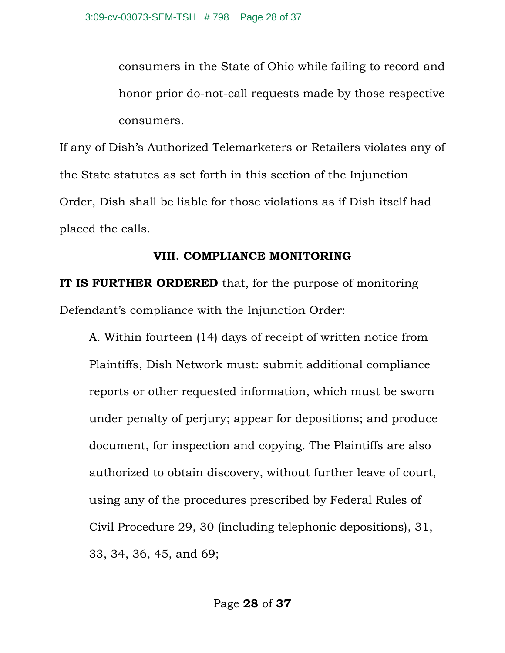consumers in the State of Ohio while failing to record and honor prior do-not-call requests made by those respective consumers.

If any of Dish's Authorized Telemarketers or Retailers violates any of the State statutes as set forth in this section of the Injunction Order, Dish shall be liable for those violations as if Dish itself had placed the calls.

### **VIII. COMPLIANCE MONITORING**

**IT IS FURTHER ORDERED** that, for the purpose of monitoring Defendant's compliance with the Injunction Order:

A. Within fourteen (14) days of receipt of written notice from Plaintiffs, Dish Network must: submit additional compliance reports or other requested information, which must be sworn under penalty of perjury; appear for depositions; and produce document, for inspection and copying. The Plaintiffs are also authorized to obtain discovery, without further leave of court, using any of the procedures prescribed by Federal Rules of Civil Procedure 29, 30 (including telephonic depositions), 31, 33, 34, 36, 45, and 69;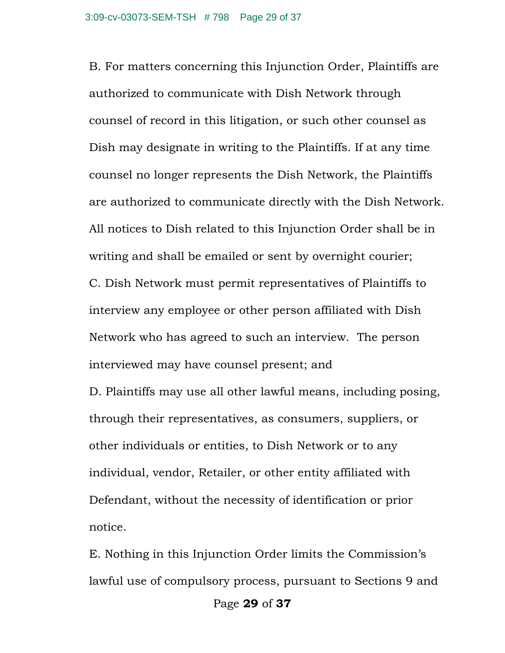B. For matters concerning this Injunction Order, Plaintiffs are authorized to communicate with Dish Network through counsel of record in this litigation, or such other counsel as Dish may designate in writing to the Plaintiffs. If at any time counsel no longer represents the Dish Network, the Plaintiffs are authorized to communicate directly with the Dish Network. All notices to Dish related to this Injunction Order shall be in writing and shall be emailed or sent by overnight courier; C. Dish Network must permit representatives of Plaintiffs to interview any employee or other person affiliated with Dish Network who has agreed to such an interview. The person interviewed may have counsel present; and

D. Plaintiffs may use all other lawful means, including posing, through their representatives, as consumers, suppliers, or other individuals or entities, to Dish Network or to any individual, vendor, Retailer, or other entity affiliated with Defendant, without the necessity of identification or prior notice.

E. Nothing in this Injunction Order limits the Commission's lawful use of compulsory process, pursuant to Sections 9 and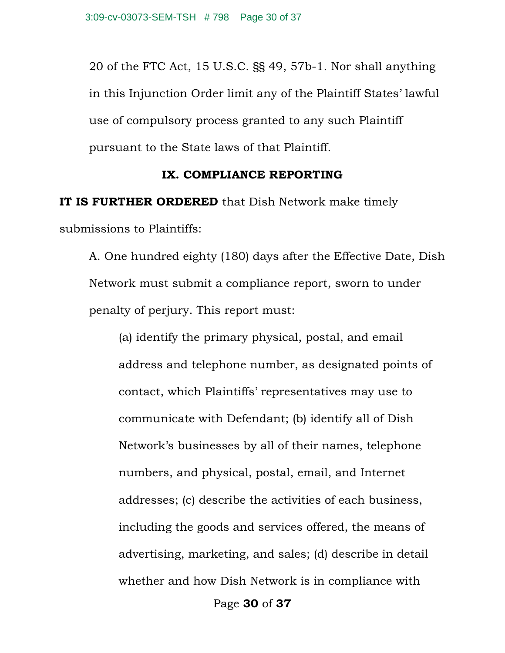20 of the FTC Act, 15 U.S.C. §§ 49, 57b-1. Nor shall anything in this Injunction Order limit any of the Plaintiff States' lawful use of compulsory process granted to any such Plaintiff pursuant to the State laws of that Plaintiff.

#### **IX. COMPLIANCE REPORTING**

**IT IS FURTHER ORDERED** that Dish Network make timely submissions to Plaintiffs:

A. One hundred eighty (180) days after the Effective Date, Dish Network must submit a compliance report, sworn to under penalty of perjury. This report must:

(a) identify the primary physical, postal, and email address and telephone number, as designated points of contact, which Plaintiffs' representatives may use to communicate with Defendant; (b) identify all of Dish Network's businesses by all of their names, telephone numbers, and physical, postal, email, and Internet addresses; (c) describe the activities of each business, including the goods and services offered, the means of advertising, marketing, and sales; (d) describe in detail whether and how Dish Network is in compliance with

Page **30** of **37**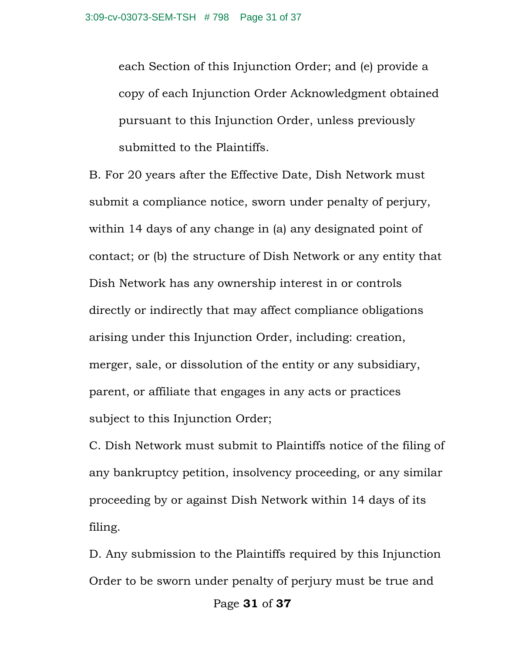each Section of this Injunction Order; and (e) provide a copy of each Injunction Order Acknowledgment obtained pursuant to this Injunction Order, unless previously submitted to the Plaintiffs.

B. For 20 years after the Effective Date, Dish Network must submit a compliance notice, sworn under penalty of perjury, within 14 days of any change in (a) any designated point of contact; or (b) the structure of Dish Network or any entity that Dish Network has any ownership interest in or controls directly or indirectly that may affect compliance obligations arising under this Injunction Order, including: creation, merger, sale, or dissolution of the entity or any subsidiary, parent, or affiliate that engages in any acts or practices subject to this Injunction Order;

C. Dish Network must submit to Plaintiffs notice of the filing of any bankruptcy petition, insolvency proceeding, or any similar proceeding by or against Dish Network within 14 days of its filing.

D. Any submission to the Plaintiffs required by this Injunction Order to be sworn under penalty of perjury must be true and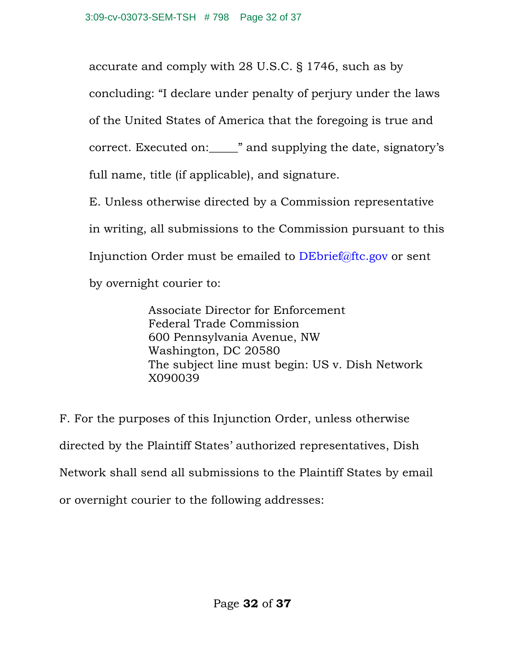accurate and comply with 28 U.S.C. § 1746, such as by concluding: "I declare under penalty of perjury under the laws of the United States of America that the foregoing is true and correct. Executed on:\_\_\_\_\_" and supplying the date, signatory's full name, title (if applicable), and signature. E. Unless otherwise directed by a Commission representative in writing, all submissions to the Commission pursuant to this

Injunction Order must be emailed to DEbrief@ftc.gov or sent

by overnight courier to:

Associate Director for Enforcement Federal Trade Commission 600 Pennsylvania Avenue, NW Washington, DC 20580 The subject line must begin: US v. Dish Network X090039

F. For the purposes of this Injunction Order, unless otherwise directed by the Plaintiff States' authorized representatives, Dish Network shall send all submissions to the Plaintiff States by email or overnight courier to the following addresses: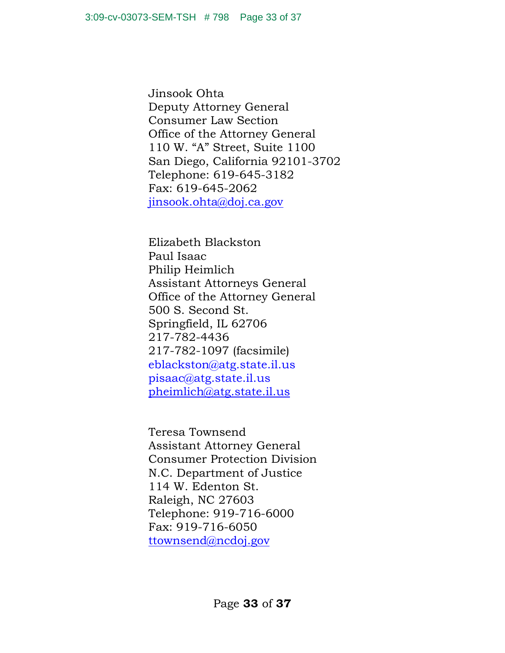Jinsook Ohta Deputy Attorney General Consumer Law Section Office of the Attorney General 110 W. "A" Street, Suite 1100 San Diego, California 92101-3702 Telephone: 619-645-3182 Fax: 619-645-2062 jinsook.ohta@doj.ca.gov

Elizabeth Blackston Paul Isaac Philip Heimlich Assistant Attorneys General Office of the Attorney General 500 S. Second St. Springfield, IL 62706 217-782-4436 217-782-1097 (facsimile) eblackston@atg.state.il.us pisaac@atg.state.il.us pheimlich@atg.state.il.us

Teresa Townsend Assistant Attorney General Consumer Protection Division N.C. Department of Justice 114 W. Edenton St. Raleigh, NC 27603 Telephone: 919-716-6000 Fax: 919-716-6050 ttownsend@ncdoj.gov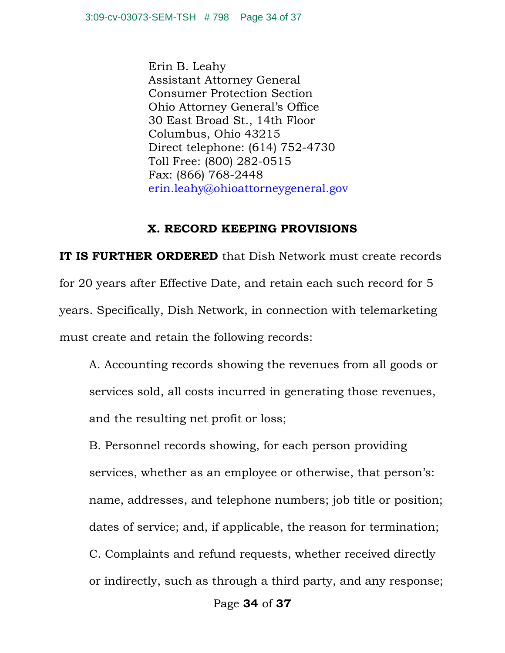Erin B. Leahy Assistant Attorney General Consumer Protection Section Ohio Attorney General's Office 30 East Broad St., 14th Floor Columbus, Ohio 43215 Direct telephone: (614) 752-4730 Toll Free: (800) 282-0515 Fax: (866) 768-2448 erin.leahy@ohioattorneygeneral.gov

#### **X. RECORD KEEPING PROVISIONS**

**IT IS FURTHER ORDERED** that Dish Network must create records for 20 years after Effective Date, and retain each such record for 5 years. Specifically, Dish Network, in connection with telemarketing must create and retain the following records:

A. Accounting records showing the revenues from all goods or services sold, all costs incurred in generating those revenues, and the resulting net profit or loss;

B. Personnel records showing, for each person providing services, whether as an employee or otherwise, that person's: name, addresses, and telephone numbers; job title or position; dates of service; and, if applicable, the reason for termination; C. Complaints and refund requests, whether received directly or indirectly, such as through a third party, and any response;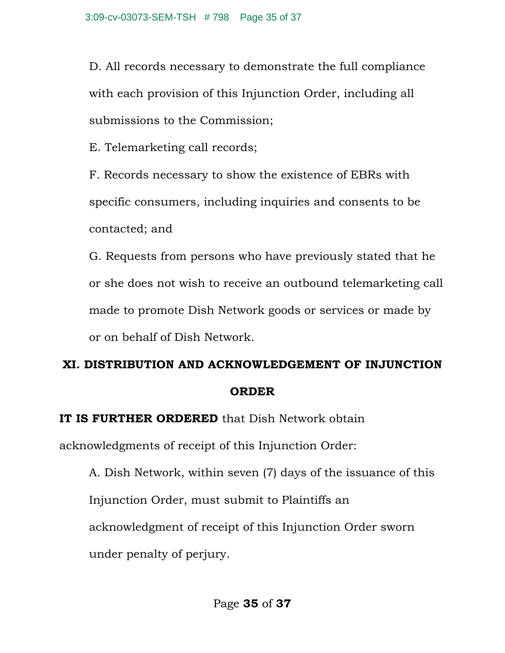D. All records necessary to demonstrate the full compliance with each provision of this Injunction Order, including all submissions to the Commission;

E. Telemarketing call records;

F. Records necessary to show the existence of EBRs with specific consumers, including inquiries and consents to be contacted; and

G. Requests from persons who have previously stated that he or she does not wish to receive an outbound telemarketing call made to promote Dish Network goods or services or made by or on behalf of Dish Network.

# **XI. DISTRIBUTION AND ACKNOWLEDGEMENT OF INJUNCTION ORDER**

## **IT IS FURTHER ORDERED** that Dish Network obtain

acknowledgments of receipt of this Injunction Order:

A. Dish Network, within seven (7) days of the issuance of this Injunction Order, must submit to Plaintiffs an acknowledgment of receipt of this Injunction Order sworn under penalty of perjury.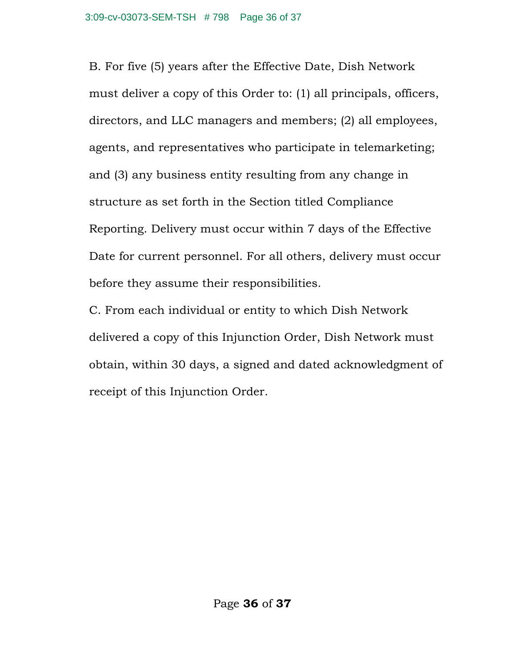B. For five (5) years after the Effective Date, Dish Network must deliver a copy of this Order to: (1) all principals, officers, directors, and LLC managers and members; (2) all employees, agents, and representatives who participate in telemarketing; and (3) any business entity resulting from any change in structure as set forth in the Section titled Compliance Reporting. Delivery must occur within 7 days of the Effective Date for current personnel. For all others, delivery must occur before they assume their responsibilities.

C. From each individual or entity to which Dish Network delivered a copy of this Injunction Order, Dish Network must obtain, within 30 days, a signed and dated acknowledgment of receipt of this Injunction Order.